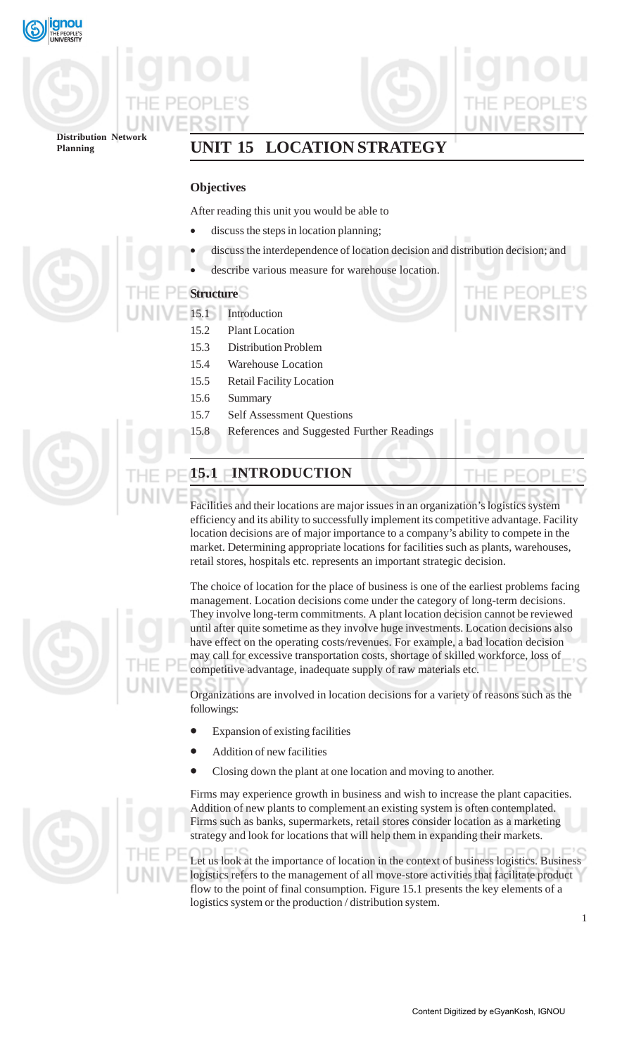



**Planning**

## **UNIT 15 LOCATION STRATEGY**

## **Objectives**

After reading this unit you would be able to

- discuss the steps in location planning;
- discuss the interdependence of location decision and distribution decision; and
- describe various measure for warehouse location.

## **Structure**

- 15.1 Introduction
	- 15.2 Plant Location
	- 15.3 Distribution Problem
	- 15.4 Warehouse Location
	- 15.5 Retail Facility Location
	- 15.6 Summary
	- 15.7 Self Assessment Questions
	- 15.8 References and Suggested Further Readings





Facilities and their locations are major issues in an organization's logistics system efficiency and its ability to successfully implement its competitive advantage. Facility location decisions are of major importance to a company's ability to compete in the market. Determining appropriate locations for facilities such as plants, warehouses, retail stores, hospitals etc. represents an important strategic decision.

The choice of location for the place of business is one of the earliest problems facing management. Location decisions come under the category of long-term decisions. They involve long-term commitments. A plant location decision cannot be reviewed until after quite sometime as they involve huge investments. Location decisions also have effect on the operating costs/revenues. For example, a bad location decision may call for excessive transportation costs, shortage of skilled workforce, loss of competitive advantage, inadequate supply of raw materials etc.

Organizations are involved in location decisions for a variety of reasons such as the followings:

- Expansion of existing facilities
- Addition of new facilities
- Closing down the plant at one location and moving to another.

Firms may experience growth in business and wish to increase the plant capacities. Addition of new plants to complement an existing system is often contemplated. Firms such as banks, supermarkets, retail stores consider location as a marketing strategy and look for locations that will help them in expanding their markets.

Let us look at the importance of location in the context of business logistics. Business logistics refers to the management of all move-store activities that facilitate product flow to the point of final consumption. Figure 15.1 presents the key elements of a logistics system or the production / distribution system.

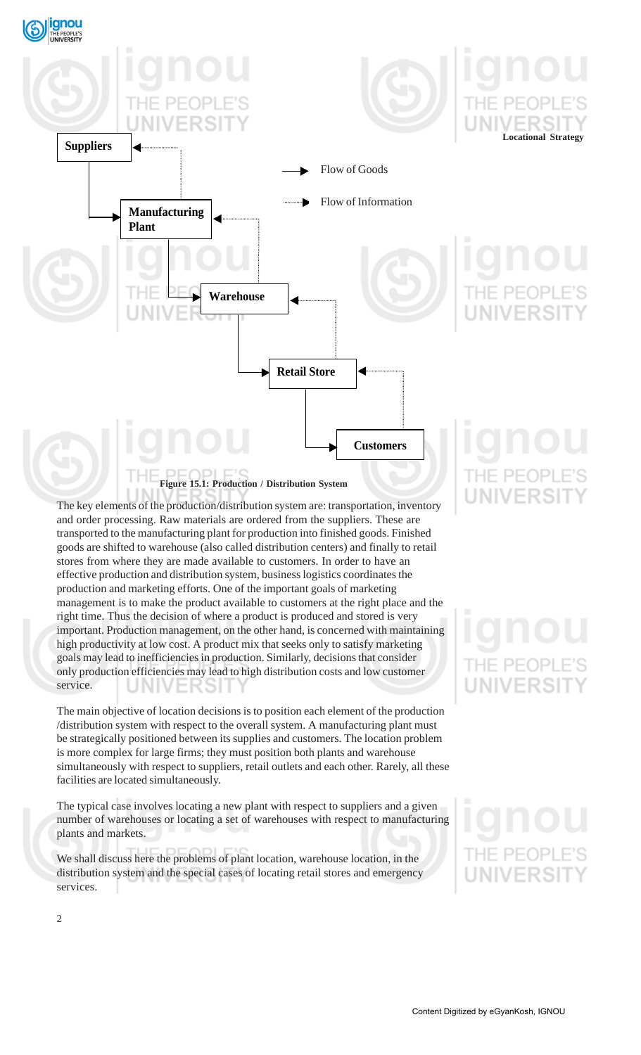

The key elements of the production/distribution system are: transportation, inventory and order processing. Raw materials are ordered from the suppliers. These are transported to the manufacturing plant for production into finished goods. Finished goods are shifted to warehouse (also called distribution centers) and finally to retail stores from where they are made available to customers. In order to have an effective production and distribution system, business logistics coordinates the production and marketing efforts. One of the important goals of marketing management is to make the product available to customers at the right place and the right time. Thus the decision of where a product is produced and stored is very important. Production management, on the other hand, is concerned with maintaining high productivity at low cost. A product mix that seeks only to satisfy marketing goals may lead to inefficiencies in production. Similarly, decisions that consider only production efficiencies may lead to high distribution costs and low customer service.

The main objective of location decisions is to position each element of the production /distribution system with respect to the overall system. A manufacturing plant must be strategically positioned between its supplies and customers. The location problem is more complex for large firms; they must position both plants and warehouse simultaneously with respect to suppliers, retail outlets and each other. Rarely, all these facilities are located simultaneously.

The typical case involves locating a new plant with respect to suppliers and a given number of warehouses or locating a set of warehouses with respect to manufacturing plants and markets.

We shall discuss here the problems of plant location, warehouse location, in the distribution system and the special cases of locating retail stores and emergency services.

## **JNIVERSI**

**gnou**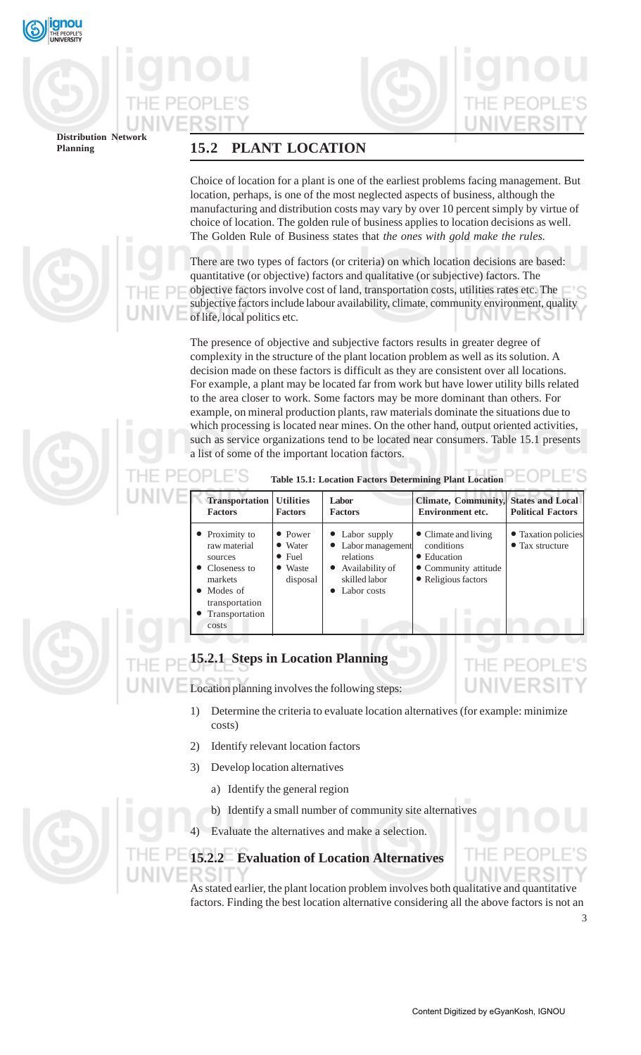





**Planning**

## **15.2 PLANT LOCATION**

Choice of location for a plant is one of the earliest problems facing management. But location, perhaps, is one of the most neglected aspects of business, although the manufacturing and distribution costs may vary by over 10 percent simply by virtue of choice of location. The golden rule of business applies to location decisions as well. The Golden Rule of Business states that *the ones with gold make the rules*.

There are two types of factors (or criteria) on which location decisions are based: quantitative (or objective) factors and qualitative (or subjective) factors. The objective factors involve cost of land, transportation costs, utilities rates etc. The subjective factors include labour availability, climate, community environment, quality of life, local politics etc. <u> ilverði í </u>

The presence of objective and subjective factors results in greater degree of complexity in the structure of the plant location problem as well as its solution. A decision made on these factors is difficult as they are consistent over all locations. For example, a plant may be located far from work but have lower utility bills related to the area closer to work. Some factors may be more dominant than others. For example, on mineral production plants, raw materials dominate the situations due to which processing is located near mines. On the other hand, output oriented activities, such as service organizations tend to be located near consumers. Table 15.1 presents a list of some of the important location factors.

**Table 15.1: Location Factors Determining Plant Location**

| <b>Transportation   Utilities</b><br><b>Factors</b>                                                                                 | <b>Factors</b>                                                              | Labor<br><b>Factors</b>                                                                                | Climate, Community, States and Local<br><b>Environment etc.</b>                                  | <b>Political Factors</b>                       |
|-------------------------------------------------------------------------------------------------------------------------------------|-----------------------------------------------------------------------------|--------------------------------------------------------------------------------------------------------|--------------------------------------------------------------------------------------------------|------------------------------------------------|
| • Proximity to<br>raw material<br>sources<br>• Closeness to<br>markets<br>• Modes of<br>transportation<br>• Transportation<br>costs | $\bullet$ Power<br>$\bullet$ Water<br>$\bullet$ Fuel<br>• Waste<br>disposal | • Labor supply<br>• Labor management<br>relations<br>Availability of<br>skilled labor<br>• Labor costs | • Climate and living<br>conditions<br>• Education<br>• Community attitude<br>• Religious factors | • Taxation policies<br>$\bullet$ Tax structure |

## **15.2.1 Steps in Location Planning**

Location planning involves the following steps:

- 1) Determine the criteria to evaluate location alternatives (for example: minimize costs)
- 2) Identify relevant location factors
- 3) Develop location alternatives
	- a) Identify the general region
	- b) Identify a small number of community site alternatives

4) Evaluate the alternatives and make a selection.

## **15.2.2 Evaluation of Location Alternatives**

As stated earlier, the plant location problem involves both qualitative and quantitative factors. Finding the best location alternative considering all the above factors is not an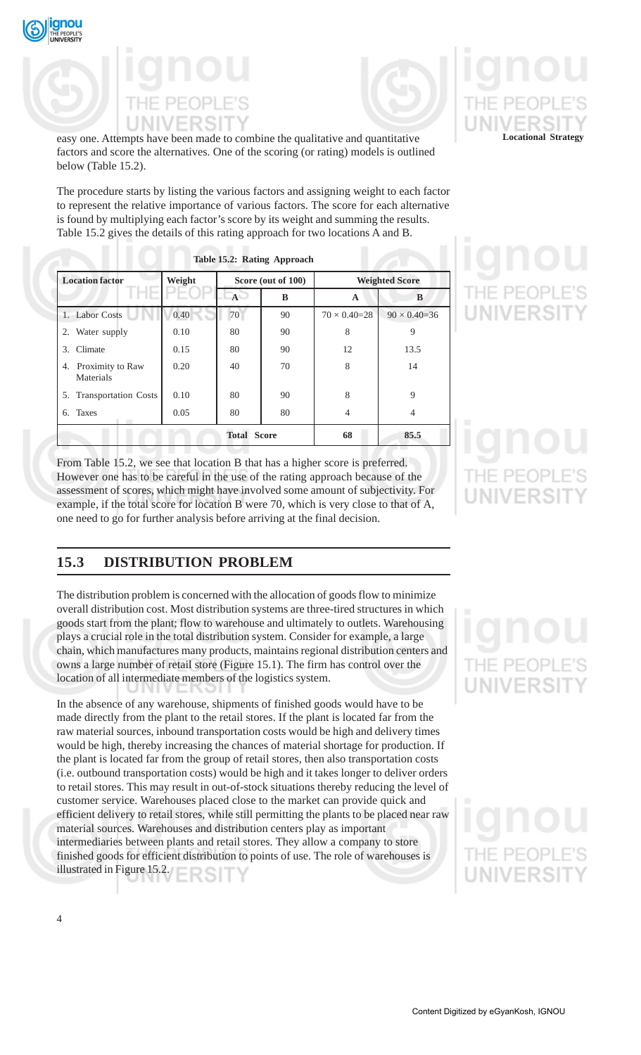

## easy one. Attempts have been made to combine the qualitative and quantitative



factors and score the alternatives. One of the scoring (or rating) models is outlined below (Table 15.2). The procedure starts by listing the various factors and assigning weight to each factor

to represent the relative importance of various factors. The score for each alternative is found by multiplying each factor's score by its weight and summing the results. Table 15.2 gives the details of this rating approach for two locations A and B.

**Table 15.2: Rating Approach**

| <b>Location factor</b>            | Weight                           |       | Score (out of 100) | <b>Weighted Score</b> |                       |  |  |
|-----------------------------------|----------------------------------|-------|--------------------|-----------------------|-----------------------|--|--|
|                                   |                                  | $A^+$ | B                  | $\mathbf{A}$          | B                     |  |  |
| 1. Labor Costs                    | 0.40                             | 70    | 90                 | $70 \times 0.40 = 28$ | $90 \times 0.40 = 36$ |  |  |
| 2. Water supply                   | 0.10                             | 80    | 90                 | 8                     | 9                     |  |  |
| Climate<br>3.                     | 0.15                             | 80    | 90                 | 12                    | 13.5                  |  |  |
| 4. Proximity to Raw<br>Materials  | 0.20                             | 40    | 70                 | 8                     | 14                    |  |  |
| <b>Transportation Costs</b><br>5. | 0.10                             | 80    | 90                 | 8                     | 9                     |  |  |
| <b>Taxes</b><br>6.                | 0.05                             | 80    | 80                 | $\overline{4}$        | $\overline{4}$        |  |  |
|                                   | 68<br><b>Total Score</b><br>85.5 |       |                    |                       |                       |  |  |

From Table 15.2, we see that location B that has a higher score is preferred. However one has to be careful in the use of the rating approach because of the assessment of scores, which might have involved some amount of subjectivity. For example, if the total score for location B were 70, which is very close to that of A, one need to go for further analysis before arriving at the final decision.

## **15.3 DISTRIBUTION PROBLEM**

The distribution problem is concerned with the allocation of goods flow to minimize overall distribution cost. Most distribution systems are three-tired structures in which goods start from the plant; flow to warehouse and ultimately to outlets. Warehousing plays a crucial role in the total distribution system. Consider for example, a large chain, which manufactures many products, maintains regional distribution centers and owns a large number of retail store (Figure 15.1). The firm has control over the location of all intermediate members of the logistics system.

In the absence of any warehouse, shipments of finished goods would have to be made directly from the plant to the retail stores. If the plant is located far from the raw material sources, inbound transportation costs would be high and delivery times would be high, thereby increasing the chances of material shortage for production. If the plant is located far from the group of retail stores, then also transportation costs (i.e. outbound transportation costs) would be high and it takes longer to deliver orders to retail stores. This may result in out-of-stock situations thereby reducing the level of customer service. Warehouses placed close to the market can provide quick and efficient delivery to retail stores, while still permitting the plants to be placed near raw material sources. Warehouses and distribution centers play as important intermediaries between plants and retail stores. They allow a company to store finished goods for efficient distribution to points of use. The role of warehouses is illustrated in Figure 15.2.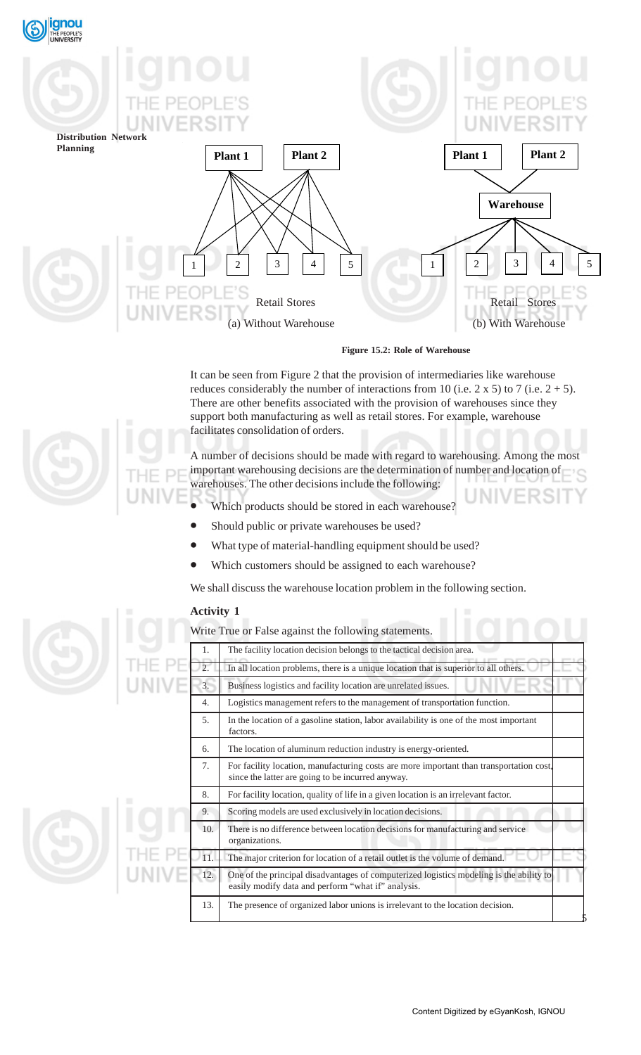

**Figure 15.2: Role of Warehouse**

It can be seen from Figure 2 that the provision of intermediaries like warehouse reduces considerably the number of interactions from 10 (i.e.  $2 \times 5$ ) to 7 (i.e.  $2 + 5$ ). There are other benefits associated with the provision of warehouses since they support both manufacturing as well as retail stores. For example, warehouse facilitates consolidation of orders.

A number of decisions should be made with regard to warehousing. Among the most important warehousing decisions are the determination of number and location of warehouses. The other decisions include the following:

- Which products should be stored in each warehouse?
- Should public or private warehouses be used?
- What type of material-handling equipment should be used?
- Which customers should be assigned to each warehouse?

We shall discuss the warehouse location problem in the following section.

### **Activity 1**

### Write True or False against the following statements.

| 1.  | The facility location decision belongs to the tactical decision area.                                                                         |
|-----|-----------------------------------------------------------------------------------------------------------------------------------------------|
| 2.  | In all location problems, there is a unique location that is superior to all others.                                                          |
| 3.  | Business logistics and facility location are unrelated issues.                                                                                |
| 4.  | Logistics management refers to the management of transportation function.                                                                     |
| 5.  | In the location of a gasoline station, labor availability is one of the most important<br>factors.                                            |
| 6.  | The location of aluminum reduction industry is energy-oriented.                                                                               |
| 7.  | For facility location, manufacturing costs are more important than transportation cost.<br>since the latter are going to be incurred anyway.  |
| 8.  | For facility location, quality of life in a given location is an irrelevant factor.                                                           |
| 9.  | Scoring models are used exclusively in location decisions.                                                                                    |
| 10. | There is no difference between location decisions for manufacturing and service<br>organizations.                                             |
| 11. | The major criterion for location of a retail outlet is the volume of demand.                                                                  |
| 12. | One of the principal disadvantages of computerized logistics modeling is the ability to<br>easily modify data and perform "what if" analysis. |
| 13. | The presence of organized labor unions is irrelevant to the location decision.                                                                |

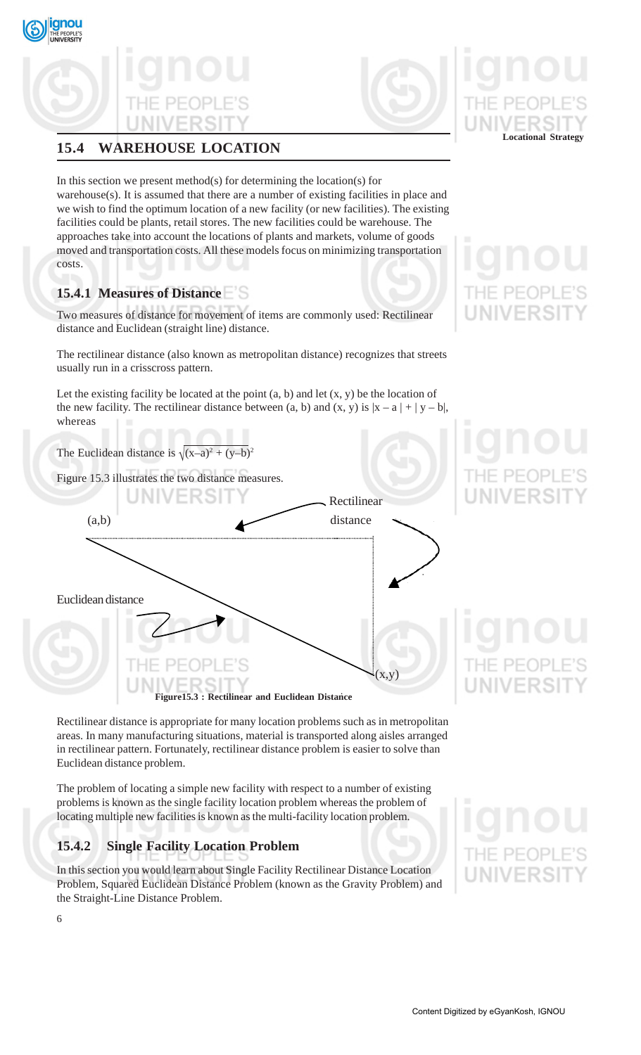

## **15.4 WAREHOUSE LOCATION**

In this section we present method(s) for determining the location(s) for warehouse(s). It is assumed that there are a number of existing facilities in place and we wish to find the optimum location of a new facility (or new facilities). The existing facilities could be plants, retail stores. The new facilities could be warehouse. The approaches take into account the locations of plants and markets, volume of goods moved and transportation costs. All these models focus on minimizing transportation costs.

## **15.4.1 Measures of Distance**

Two measures of distance for movement of items are commonly used: Rectilinear distance and Euclidean (straight line) distance.

The rectilinear distance (also known as metropolitan distance) recognizes that streets usually run in a crisscross pattern.

Let the existing facility be located at the point  $(a, b)$  and let  $(x, y)$  be the location of the new facility. The rectilinear distance between (a, b) and (x, y) is  $|x - a| + |y - b|$ , whereas

The Euclidean distance is  $\sqrt{(x-a)^2 + (y-b)^2}$ 

Figure 15.3 illustrates the two distance measures.



**JNIVERSIT** 

**Locational Strategy**

Rectilinear distance is appropriate for many location problems such as in metropolitan areas. In many manufacturing situations, material is transported along aisles arranged in rectilinear pattern. Fortunately, rectilinear distance problem is easier to solve than Euclidean distance problem.

The problem of locating a simple new facility with respect to a number of existing problems is known as the single facility location problem whereas the problem of locating multiple new facilities is known as the multi-facility location problem.

## **15.4.2 Single Facility Location Problem**

In this section you would learn about Single Facility Rectilinear Distance Location Problem, Squared Euclidean Distance Problem (known as the Gravity Problem) and the Straight-Line Distance Problem.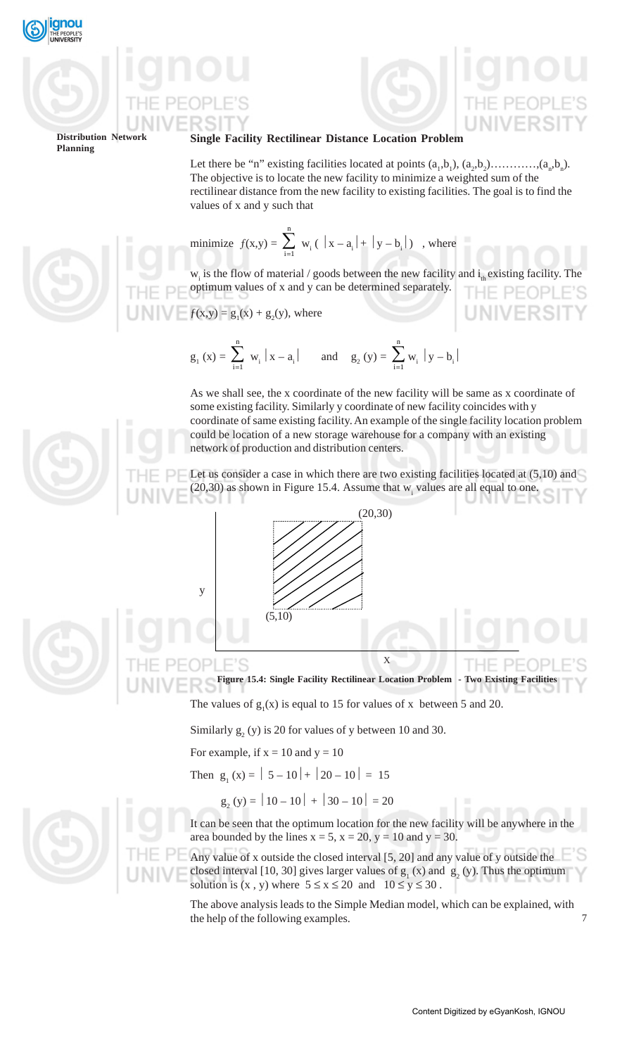



### **Single Facility Rectilinear Distance Location Problem**

Let there be "n" existing facilities located at points  $(a_1, b_1), (a_2, b_2), \ldots, (a_n, b_n)$ . The objective is to locate the new facility to minimize a weighted sum of the rectilinear distance from the new facility to existing facilities. The goal is to find the values of x and y such that

minimize 
$$
f(x,y) = \sum_{i=1}^{n} w_i (\vert x - a_i \vert + \vert y - b_i \vert)
$$
, where

 $w<sub>i</sub>$  is the flow of material / goods between the new facility and  $i<sub>th</sub>$  existing facility. The optimum values of x and y can be determined separately.

$$
f(x,y) = g_1(x) + g_2(y)
$$
, where

$$
g_{_{1}}\left(x\right)=\sum_{i=1}^{n}\left|w_{_{i}}\right|\left|x-a_{_{i}}\right|\qquad\text{and}\quad g_{_{2}}\left(y\right)=\sum_{i=1}^{n}\left|w_{_{i}}\right|\left|y-b_{_{i}}\right|
$$

As we shall see, the x coordinate of the new facility will be same as x coordinate of some existing facility. Similarly y coordinate of new facility coincides with y coordinate of same existing facility. An example of the single facility location problem could be location of a new storage warehouse for a company with an existing network of production and distribution centers.

Let us consider a case in which there are two existing facilities located at (5,10) and  $(20,30)$  as shown in Figure 15.4. Assume that  $w<sub>i</sub>$  values are all equal to one.





X **Figure 15.4: Single Facility Rectilinear Location Problem - Two Existing Facilities**

The values of  $g_1(x)$  is equal to 15 for values of x between 5 and 20.

Similarly  $g_2(y)$  is 20 for values of y between 10 and 30.

For example, if  $x = 10$  and  $y = 10$ 

y

Then  $g_1(x) = | 5 - 10 | + | 20 - 10 | = 15$ 

$$
g_2(y) = |10 - 10| + |30 - 10| = 20
$$

It can be seen that the optimum location for the new facility will be anywhere in the area bounded by the lines  $x = 5$ ,  $x = 20$ ,  $y = 10$  and  $y = 30$ .

Any value of x outside the closed interval [5, 20] and any value of y outside the closed interval [10, 30] gives larger values of  $g_1(x)$  and  $g_2(y)$ . Thus the optimum solution is  $(x, y)$  where  $5 \le x \le 20$  and  $10 \le y \le 30$ .

7 The above analysis leads to the Simple Median model, which can be explained, with the help of the following examples.



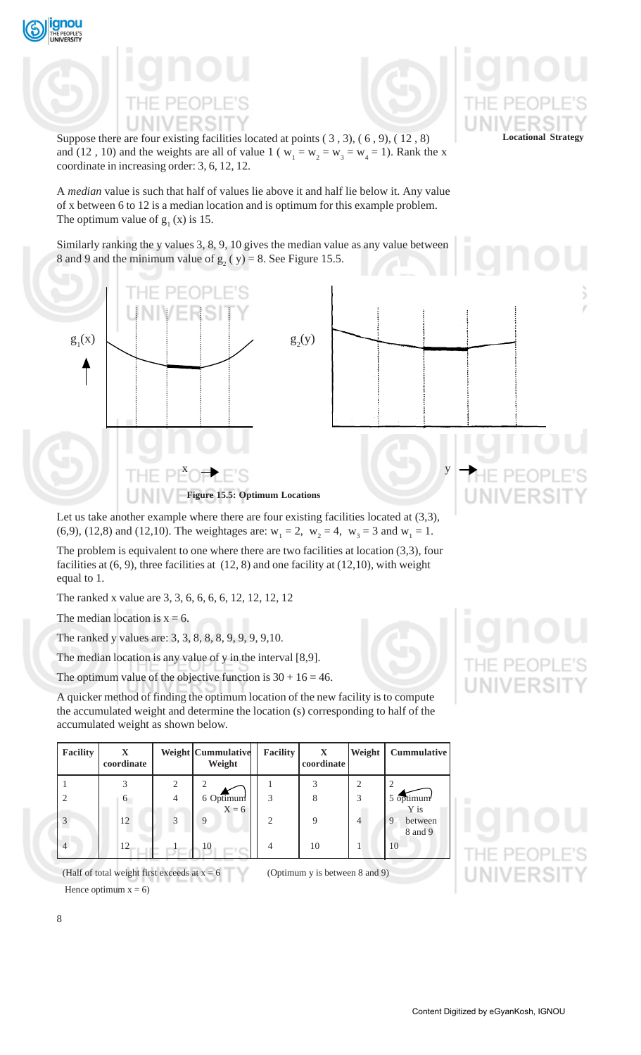



Suppose there are four existing facilities located at points  $(3, 3)$ ,  $(6, 9)$ ,  $(12, 8)$ and (12, 10) and the weights are all of value 1 ( $w_1 = w_2 = w_3 = w_4 = 1$ ). Rank the x coordinate in increasing order: 3, 6, 12, 12.

A *median* value is such that half of values lie above it and half lie below it. Any value of x between 6 to 12 is a median location and is optimum for this example problem. The optimum value of  $g_1(x)$  is 15.

Similarly ranking the y values 3, 8, 9, 10 gives the median value as any value between 8 and 9 and the minimum value of  $g_2$  (y) = 8. See Figure 15.5.



Let us take another example where there are four existing facilities located at (3,3), (6,9), (12,8) and (12,10). The weightages are:  $w_1 = 2$ ,  $w_2 = 4$ ,  $w_3 = 3$  and  $w_1 = 1$ .

The problem is equivalent to one where there are two facilities at location (3,3), four facilities at  $(6, 9)$ , three facilities at  $(12, 8)$  and one facility at  $(12, 10)$ , with weight equal to 1.

The ranked x value are 3, 3, 6, 6, 6, 6, 12, 12, 12, 12

The median location is  $x = 6$ .

The ranked y values are: 3, 3, 8, 8, 8, 9, 9, 9, 9,10.

The median location is any value of y in the interval [8,9].

The optimum value of the objective function is  $30 + 16 = 46$ .

A quicker method of finding the optimum location of the new facility is to compute the accumulated weight and determine the location (s) corresponding to half of the accumulated weight as shown below.

| Facility       | $\mathbf X$<br>coordinate |                | Weight Cummulative<br>Weight | Facility                                                                                                                                                        | X<br>coordinate | <b>Weight</b> | <b>Cummulative</b>              |
|----------------|---------------------------|----------------|------------------------------|-----------------------------------------------------------------------------------------------------------------------------------------------------------------|-----------------|---------------|---------------------------------|
|                |                           | $\overline{c}$ |                              |                                                                                                                                                                 |                 |               |                                 |
|                | 6                         | $\overline{4}$ | 6 Optimum                    | 3                                                                                                                                                               | 8               |               | optimum<br>$\mathcal{D}$        |
| 3              | 12                        | 3              | $X = 6$<br>Q                 | $\mathcal{D}_{\mathcal{L}}^{\mathcal{L}}(\mathcal{L})=\mathcal{L}_{\mathcal{L}}^{\mathcal{L}}(\mathcal{L})\mathcal{L}_{\mathcal{L}}^{\mathcal{L}}(\mathcal{L})$ | Q               | 4             | Y is<br>between<br>Q<br>8 and 9 |
| $\overline{4}$ | 12                        |                | 10                           | 4                                                                                                                                                               | 10              |               | 10                              |

(Half of total weight first exceeds at  $x = 6$  (Optimum y is between 8 and 9) Hence optimum  $x = 6$ )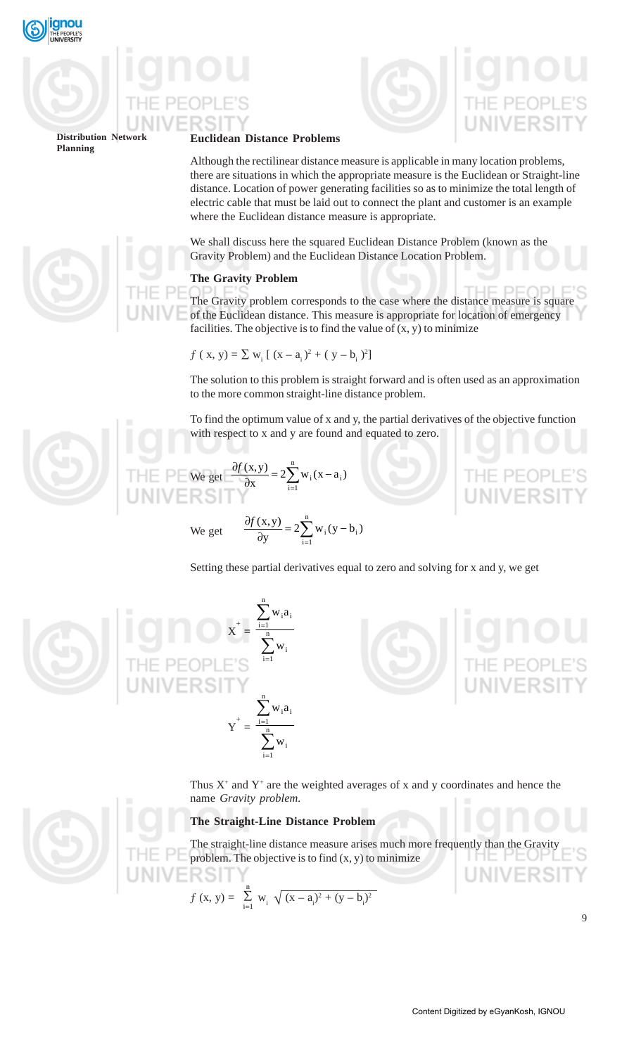



### **Distribution Network Planning**

### **Euclidean Distance Problems**

Although the rectilinear distance measure is applicable in many location problems, there are situations in which the appropriate measure is the Euclidean or Straight-line distance. Location of power generating facilities so as to minimize the total length of electric cable that must be laid out to connect the plant and customer is an example where the Euclidean distance measure is appropriate.

We shall discuss here the squared Euclidean Distance Problem (known as the Gravity Problem) and the Euclidean Distance Location Problem.

## **The Gravity Problem**

 $D1$  $DF($ The Gravity problem corresponds to the case where the distance measure is square of the Euclidean distance. This measure is appropriate for location of emergency facilities. The objective is to find the value of  $(x, y)$  to minimize

 $f(x, y) = \sum w_i [(x - a_i)^2 + (y - b_i)^2]$ 

The solution to this problem is straight forward and is often used as an approximation to the more common straight-line distance problem.

To find the optimum value of x and y, the partial derivatives of the objective function with respect to x and y are found and equated to zero.



We get 
$$
\frac{\partial f(x, y)}{\partial y} = 2 \sum_{i=1}^{n} w_i (y - b_i)
$$

Setting these partial derivatives equal to zero and solving for x and y, we get



Thus  $X^+$  and  $Y^+$  are the weighted averages of x and y coordinates and hence the name *Gravity problem.*

### **The Straight-Line Distance Problem**

The straight-line distance measure arises much more frequently than the Gravity problem. The objective is to find  $(x, y)$  to minimize

$$
f(x, y) = \sum_{i=1}^{n} w_i \sqrt{(x - a_i)^2 + (y - b_i)^2}
$$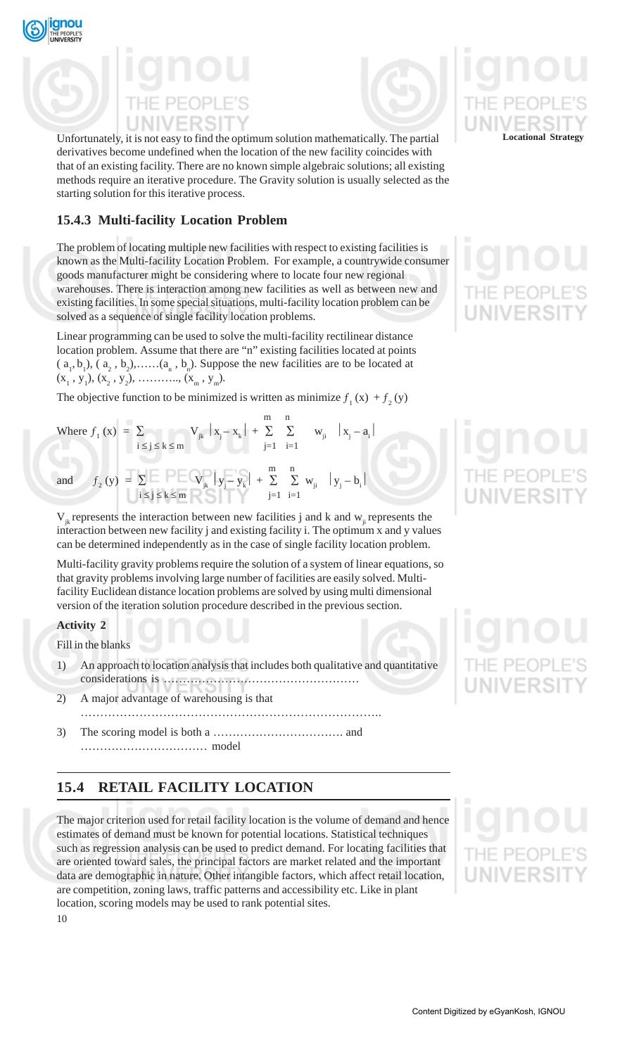



Unfortunately, it is not easy to find the optimum solution mathematically. The partial derivatives become undefined when the location of the new facility coincides with that of an existing facility. There are no known simple algebraic solutions; all existing methods require an iterative procedure. The Gravity solution is usually selected as the starting solution for this iterative process.

## **15.4.3 Multi-facility Location Problem**

The problem of locating multiple new facilities with respect to existing facilities is known as the Multi-facility Location Problem. For example, a countrywide consumer goods manufacturer might be considering where to locate four new regional warehouses. There is interaction among new facilities as well as between new and existing facilities. In some special situations, multi-facility location problem can be solved as a sequence of single facility location problems.

Linear programming can be used to solve the multi-facility rectilinear distance location problem. Assume that there are "n" existing facilities located at points  $(a_1, b_1), (a_2, b_2), \ldots, (a_n, b_n)$ . Suppose the new facilities are to be located at  $(x_1, y_1), (x_2, y_2), \dots, (x_m, y_m).$ 

The objective function to be minimized is written as minimize  $f_1(x) + f_2(y)$ 

| Where $f_1(x) = \sum_{k=1}^{\infty}  x_k - x_k  + \sum_{k=1}^{\infty}  x_k - x_k $ | $i \le j \le k \le m$ $j=1$ $i=1$                                                                                                   |  |  |
|------------------------------------------------------------------------------------|-------------------------------------------------------------------------------------------------------------------------------------|--|--|
| and                                                                                | $f_2(y) = \sum_{i \le j \le k \le m} \left  V_{jk} \right  y_j - y_k \left  + \sum_{j=1}^m \sum_{i=1}^n w_{ji} \right   y_j - b_i $ |  |  |

 $V_{ik}$  represents the interaction between new facilities j and k and w<sub>ii</sub> represents the interaction between new facility j and existing facility i. The optimum x and y values can be determined independently as in the case of single facility location problem.

Multi-facility gravity problems require the solution of a system of linear equations, so that gravity problems involving large number of facilities are easily solved. Multifacility Euclidean distance location problems are solved by using multi dimensional version of the iteration solution procedure described in the previous section.

## **Activity 2**

Fill in the blanks

- 1) An approach to location analysis that includes both qualitative and quantitative considerations is ……………………………………………
- 2) A major advantage of warehousing is that …………………………………………………………………..
- 3) The scoring model is both a ……………………………. and …………………………… model

## **15.4 RETAIL FACILITY LOCATION**

10 The major criterion used for retail facility location is the volume of demand and hence estimates of demand must be known for potential locations. Statistical techniques such as regression analysis can be used to predict demand. For locating facilities that are oriented toward sales, the principal factors are market related and the important data are demographic in nature. Other intangible factors, which affect retail location, are competition, zoning laws, traffic patterns and accessibility etc. Like in plant location, scoring models may be used to rank potential sites.



Content Digitized by eGyanKosh, IGNOU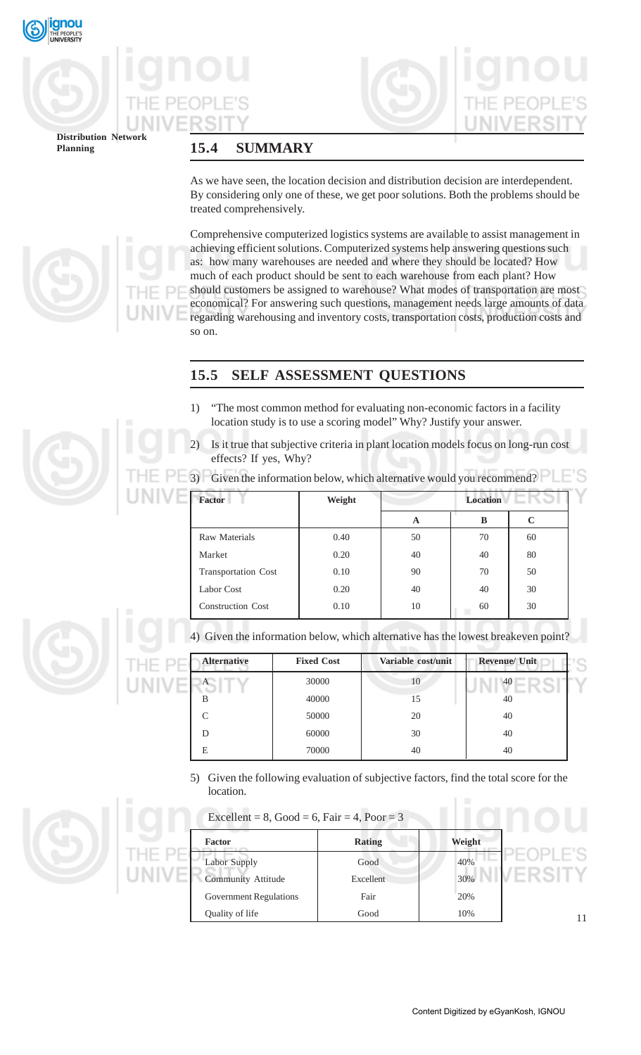



**Distribution Network Planning**

## **15.4 SUMMARY**

As we have seen, the location decision and distribution decision are interdependent. By considering only one of these, we get poor solutions. Both the problems should be treated comprehensively.

Comprehensive computerized logistics systems are available to assist management in achieving efficient solutions. Computerized systems help answering questions such as: how many warehouses are needed and where they should be located? How much of each product should be sent to each warehouse from each plant? How should customers be assigned to warehouse? What modes of transportation are most economical? For answering such questions, management needs large amounts of data regarding warehousing and inventory costs, transportation costs, production costs and so on.

## **15.5 SELF ASSESSMENT QUESTIONS**

- 1) "The most common method for evaluating non-economic factors in a facility location study is to use a scoring model" Why? Justify your answer.
- 2) Is it true that subjective criteria in plant location models focus on long-run cost effects? If yes, Why?

3) Given the information below, which alternative would you recommend?

| <b>Factor</b>              | Weight | <b>Location</b> |    |    |
|----------------------------|--------|-----------------|----|----|
|                            |        | A               | B  | C  |
| Raw Materials              | 0.40   | 50              | 70 | 60 |
| Market                     | 0.20   | 40              | 40 | 80 |
| <b>Transportation Cost</b> | 0.10   | 90              | 70 | 50 |
| Labor Cost                 | 0.20   | 40              | 40 | 30 |
| <b>Construction Cost</b>   | 0.10   | 10              | 60 | 30 |

4) Given the information below, which alternative has the lowest breakeven point?

| <b>Alternative</b> | <b>Fixed Cost</b> | Variable cost/unit | <b>Revenue/ Unit</b> |
|--------------------|-------------------|--------------------|----------------------|
| A                  | 30000             | 10                 | 40                   |
| R                  | 40000             |                    | 40                   |
|                    | 50000             | 20                 | 40                   |
|                    | 60000             | 30                 | 40                   |
| E                  | 70000             | 40                 | 40                   |

5) Given the following evaluation of subjective factors, find the total score for the location.